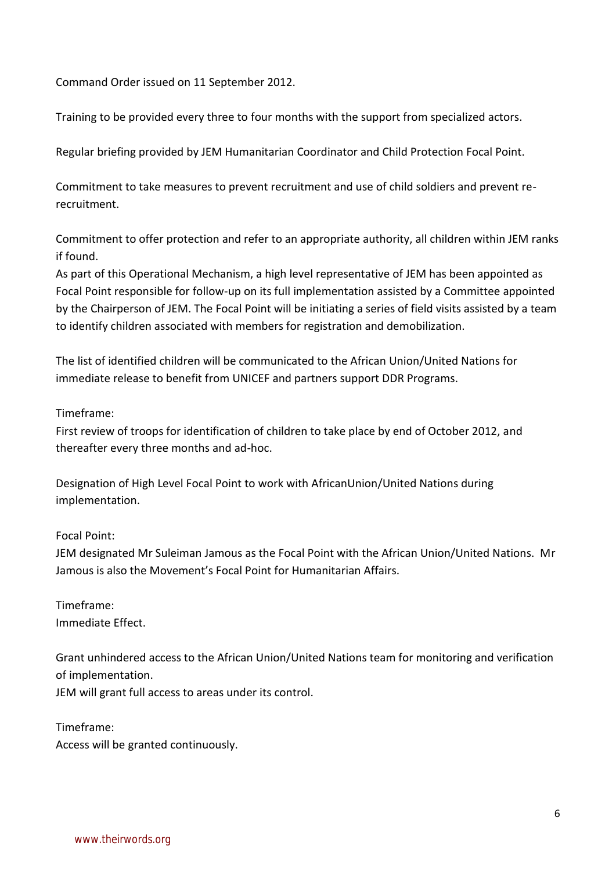Command Order issued on 11 September 2012.

Training to be provided every three to four months with the support from specialized actors.

Regular briefing provided by JEM Humanitarian Coordinator and Child Protection Focal Point.

Commitment to take measures to prevent recruitment and use of child soldiers and prevent rerecruitment.

Commitment to offer protection and refer to an appropriate authority, all children within JEM ranks if found.

As part of this Operational Mechanism, a high level representative of JEM has been appointed as Focal Point responsible for follow-up on its full implementation assisted by a Committee appointed by the Chairperson of JEM. The Focal Point will be initiating a series of field visits assisted by a team to identify children associated with members for registration and demobilization.

The list of identified children will be communicated to the African Union/United Nations for immediate release to benefit from UNICEF and partners support DDR Programs.

## Timeframe:

First review of troops for identification of children to take place by end of October 2012, and thereafter every three months and ad-hoc.

Designation of High Level Focal Point to work with AfricanUnion/United Nations during implementation.

## Focal Point:

JEM designated Mr Suleiman Jamous as the Focal Point with the African Union/United Nations. Mr Jamous is also the Movement's Focal Point for Humanitarian Affairs.

Timeframe: Immediate Effect.

Grant unhindered access to the African Union/United Nations team for monitoring and verification of implementation.

JEM will grant full access to areas under its control.

Timeframe: Access will be granted continuously.